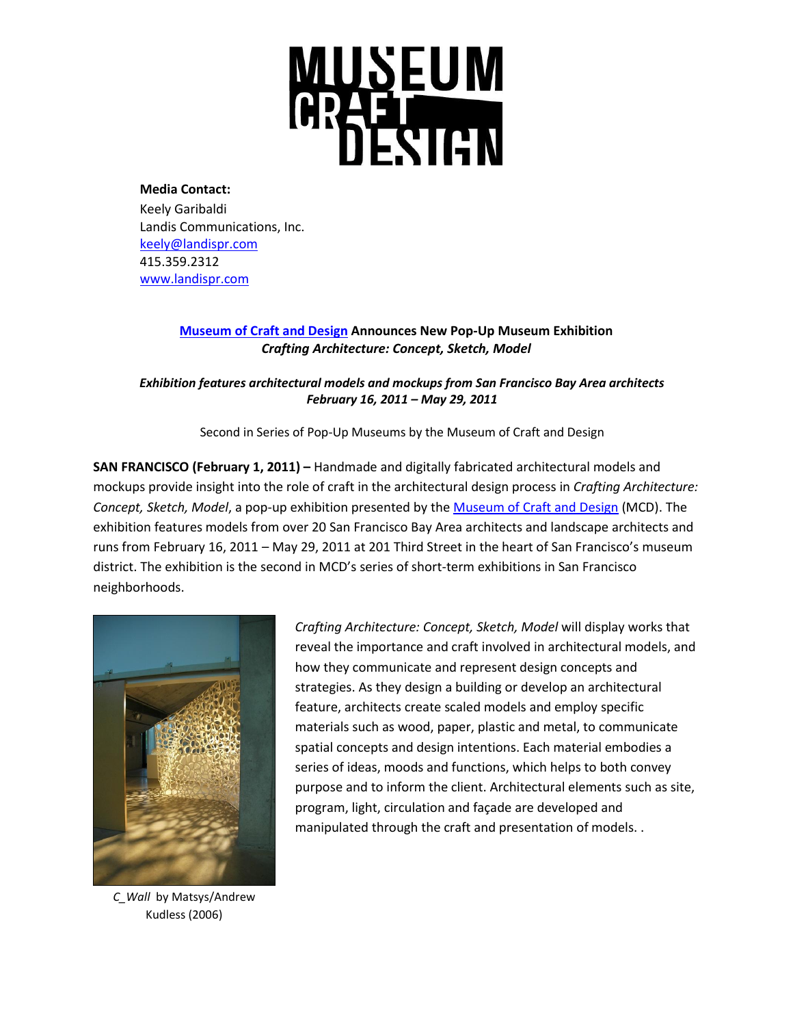

**Media Contact:** Keely Garibaldi Landis Communications, Inc. [keely@landispr.com](mailto:keely@landispr.com) 415.359.2312 [www.landispr.com](http://www.landispr.com/)

# **[Museum of Craft and Design](http://www.sfmcd.org/) Announces New Pop-Up Museum Exhibition**  *Crafting Architecture: Concept, Sketch, Model*

*Exhibition features architectural models and mockups from San Francisco Bay Area architects February 16, 2011 – May 29, 2011*

Second in Series of Pop-Up Museums by the Museum of Craft and Design

**SAN FRANCISCO (February 1, 2011) – Handmade and digitally fabricated architectural models and** mockups provide insight into the role of craft in the architectural design process in *Crafting Architecture: Concept, Sketch, Model*, a pop-up exhibition presented by the [Museum of Craft and Design](http://www.sfmcd.org/) (MCD). The exhibition features models from over 20 San Francisco Bay Area architects and landscape architects and runs from February 16, 2011 – May 29, 2011 at 201 Third Street in the heart of San Francisco's museum district. The exhibition is the second in MCD's series of short-term exhibitions in San Francisco neighborhoods.



*C\_Wall* by Matsys/Andrew Kudless (2006)

*Crafting Architecture: Concept, Sketch, Model* will display works that reveal the importance and craft involved in architectural models, and how they communicate and represent design concepts and strategies. As they design a building or develop an architectural feature, architects create scaled models and employ specific materials such as wood, paper, plastic and metal, to communicate spatial concepts and design intentions. Each material embodies a series of ideas, moods and functions, which helps to both convey purpose and to inform the client. Architectural elements such as site, program, light, circulation and façade are developed and manipulated through the craft and presentation of models. .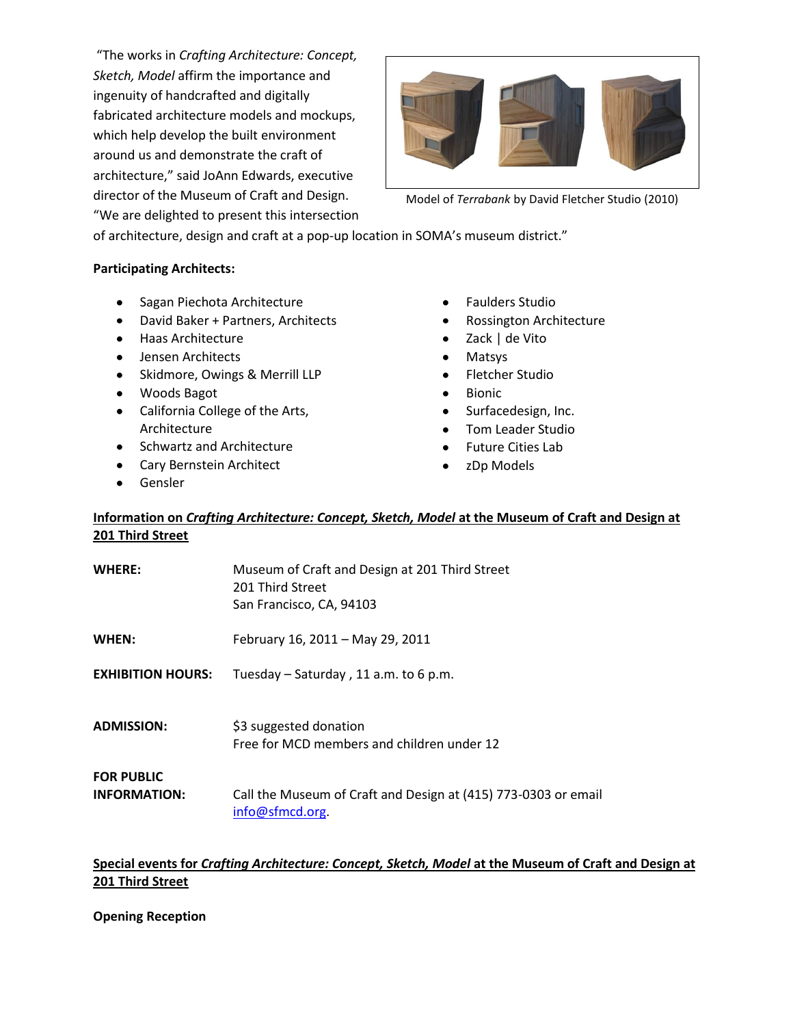"The works in *Crafting Architecture: Concept, Sketch, Model* affirm the importance and ingenuity of handcrafted and digitally fabricated architecture models and mockups, which help develop the built environment around us and demonstrate the craft of architecture," said JoAnn Edwards, executive director of the Museum of Craft and Design. "We are delighted to present this intersection



Model of *Terrabank* by David Fletcher Studio (2010)

of architecture, design and craft at a pop-up location in SOMA's museum district."

### **Participating Architects:**

- **•** Sagan Piechota Architecture
- David Baker + Partners, Architects
- Haas Architecture
- **•** Jensen Architects
- Skidmore, Owings & Merrill LLP
- Woods Bagot
- California College of the Arts, Architecture
- **•** Schwartz and Architecture
- Cary Bernstein Architect
- Gensler  $\bullet$
- Faulders Studio  $\bullet$
- Rossington Architecture
- Zack | de Vito
- Matsys
- Fletcher Studio
- Bionic
- Surfacedesign, Inc.
- Tom Leader Studio
- Future Cities Lab
- zDp Models  $\bullet$

# **Information on** *Crafting Architecture: Concept, Sketch, Model* **at the Museum of Craft and Design at 201 Third Street**

| <b>WHERE:</b>                            | Museum of Craft and Design at 201 Third Street<br>201 Third Street<br>San Francisco, CA, 94103 |
|------------------------------------------|------------------------------------------------------------------------------------------------|
| WHEN:                                    | February 16, 2011 - May 29, 2011                                                               |
| <b>EXHIBITION HOURS:</b>                 | Tuesday $-$ Saturday, 11 a.m. to 6 p.m.                                                        |
| <b>ADMISSION:</b>                        | \$3 suggested donation<br>Free for MCD members and children under 12                           |
| <b>FOR PUBLIC</b><br><b>INFORMATION:</b> | Call the Museum of Craft and Design at (415) 773-0303 or email<br>info@sfmcd.org               |

# **Special events for** *Crafting Architecture: Concept, Sketch, Model* **at the Museum of Craft and Design at 201 Third Street**

**Opening Reception**